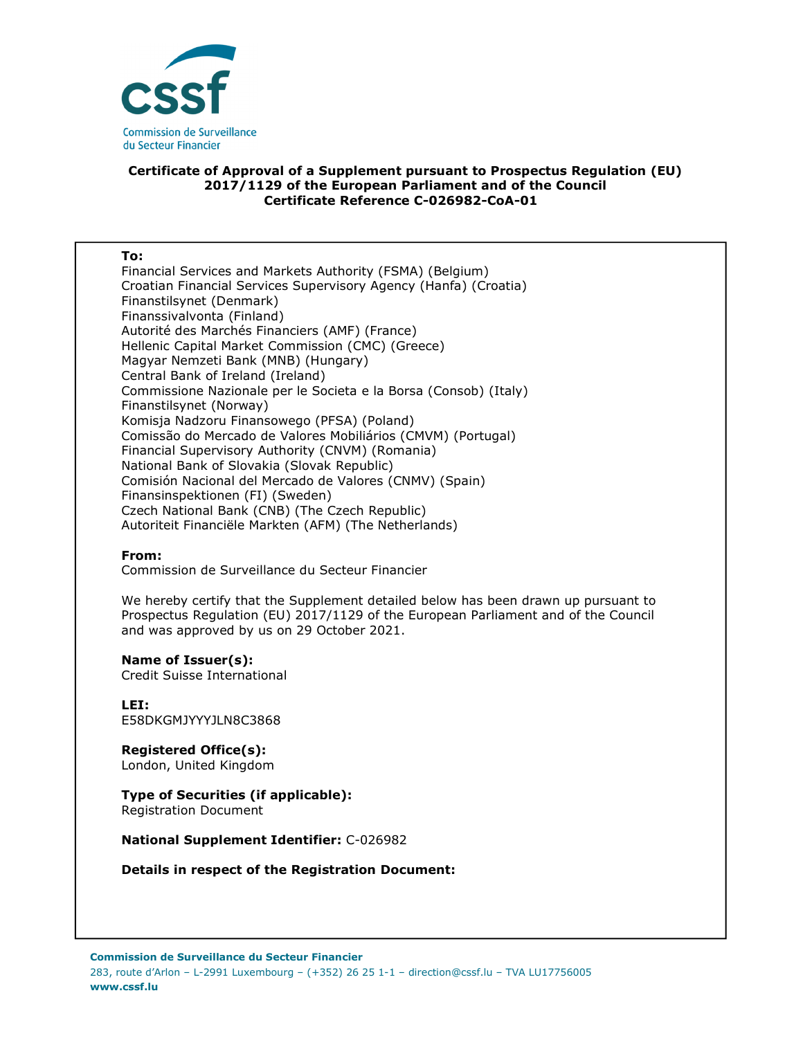

### **Certificate of Approval of a Supplement pursuant to Prospectus Regulation (EU) 2017/1129 of the European Parliament and of the Council Certificate Reference C-026982-CoA-01**

#### **To:**

Financial Services and Markets Authority (FSMA) (Belgium) Croatian Financial Services Supervisory Agency (Hanfa) (Croatia) Finanstilsynet (Denmark) Finanssivalvonta (Finland) Autorité des Marchés Financiers (AMF) (France) Hellenic Capital Market Commission (CMC) (Greece) Magyar Nemzeti Bank (MNB) (Hungary) Central Bank of Ireland (Ireland) Commissione Nazionale per le Societa e la Borsa (Consob) (Italy) Finanstilsynet (Norway) Komisja Nadzoru Finansowego (PFSA) (Poland) Comissão do Mercado de Valores Mobiliários (CMVM) (Portugal) Financial Supervisory Authority (CNVM) (Romania) National Bank of Slovakia (Slovak Republic) Comisión Nacional del Mercado de Valores (CNMV) (Spain) Finansinspektionen (FI) (Sweden) Czech National Bank (CNB) (The Czech Republic) Autoriteit Financiële Markten (AFM) (The Netherlands)

#### **From:**

Commission de Surveillance du Secteur Financier

We hereby certify that the Supplement detailed below has been drawn up pursuant to Prospectus Regulation (EU) 2017/1129 of the European Parliament and of the Council and was approved by us on 29 October 2021.

#### **Name of Issuer(s):**

Credit Suisse International

**LEI:** E58DKGMJYYYJLN8C3868

**Registered Office(s):**  London, United Kingdom

## **Type of Securities (if applicable):**

Registration Document

**National Supplement Identifier:** C-026982

**Details in respect of the Registration Document:**